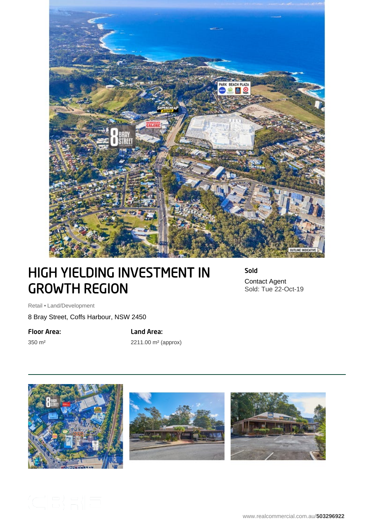

## HIGH YIELDING INVESTMENT IN GROWTH REGION

Sold Contact Agent Sold: Tue 22-Oct-19

Retail • Land/Development

8 Bray Street, Coffs Harbour, NSW 2450

Floor Area:

350 m²

Land Area:

2211.00 m² (approx)